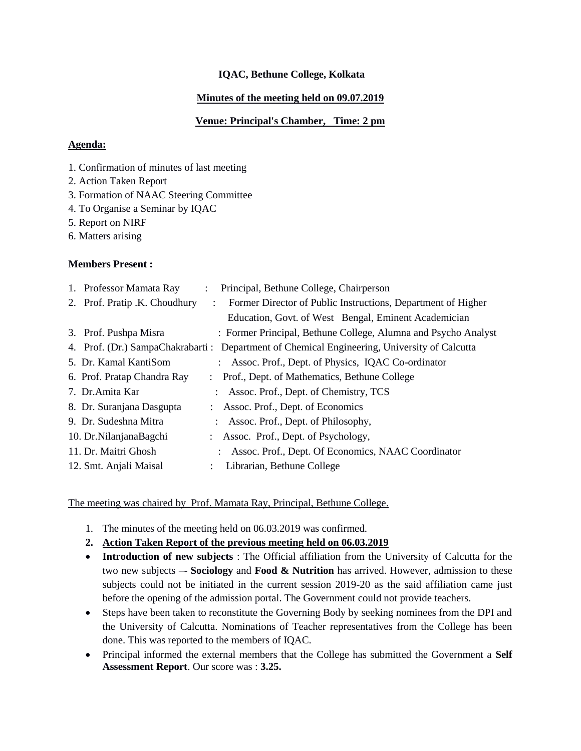### **IQAC, Bethune College, Kolkata**

### **Minutes of the meeting held on 09.07.2019**

### **Venue: Principal's Chamber, Time: 2 pm**

#### **Agenda:**

- 1. Confirmation of minutes of last meeting
- 2. Action Taken Report
- 3. Formation of NAAC Steering Committee
- 4. To Organise a Seminar by IQAC
- 5. Report on NIRF
- 6. Matters arising

### **Members Present :**

| 2. Prof. Pratip .K. Choudhury<br>Former Director of Public Instructions, Department of Higher |  |
|-----------------------------------------------------------------------------------------------|--|
| Education, Govt. of West Bengal, Eminent Academician                                          |  |
| : Former Principal, Bethune College, Alumna and Psycho Analyst<br>3. Prof. Pushpa Misra       |  |
| 4. Prof. (Dr.) SampaChakrabarti : Department of Chemical Engineering, University of Calcutta  |  |
| 5. Dr. Kamal KantiSom<br>: Assoc. Prof., Dept. of Physics, IQAC Co-ordinator                  |  |
| 6. Prof. Pratap Chandra Ray<br>: Prof., Dept. of Mathematics, Bethune College                 |  |
| 7. Dr. Amita Kar<br>: Assoc. Prof., Dept. of Chemistry, TCS                                   |  |
| 8. Dr. Suranjana Dasgupta<br>: Assoc. Prof., Dept. of Economics                               |  |
| 9. Dr. Sudeshna Mitra<br>: Assoc. Prof., Dept. of Philosophy,                                 |  |
| 10. Dr.NilanjanaBagchi<br>: Assoc. Prof., Dept. of Psychology,                                |  |
| 11. Dr. Maitri Ghosh<br>Assoc. Prof., Dept. Of Economics, NAAC Coordinator                    |  |
| 12. Smt. Anjali Maisal<br>Librarian, Bethune College                                          |  |

The meeting was chaired by Prof. Mamata Ray, Principal, Bethune College.

- 1. The minutes of the meeting held on 06.03.2019 was confirmed.
- **2. Action Taken Report of the previous meeting held on 06.03.2019**
- **Introduction of new subjects** : The Official affiliation from the University of Calcutta for the two new subjects –- **Sociology** and **Food & Nutrition** has arrived. However, admission to these subjects could not be initiated in the current session 2019-20 as the said affiliation came just before the opening of the admission portal. The Government could not provide teachers.
- Steps have been taken to reconstitute the Governing Body by seeking nominees from the DPI and the University of Calcutta. Nominations of Teacher representatives from the College has been done. This was reported to the members of IQAC.
- Principal informed the external members that the College has submitted the Government a **Self Assessment Report**. Our score was : **3.25.**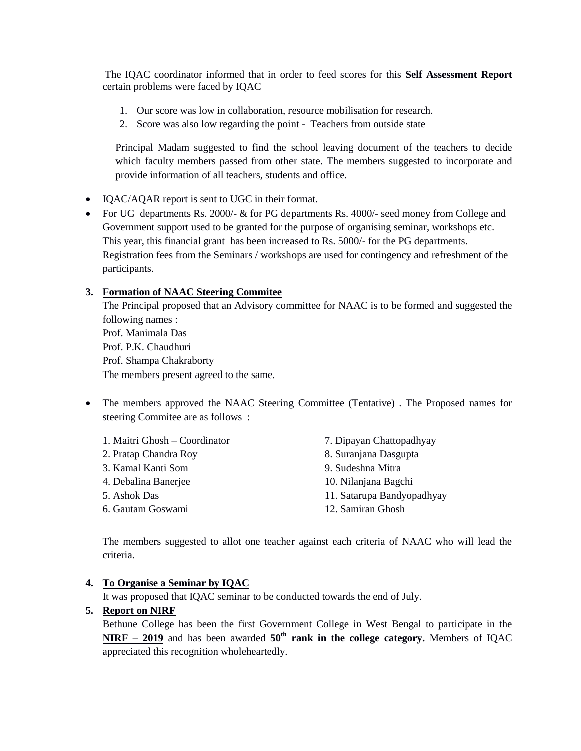The IQAC coordinator informed that in order to feed scores for this **Self Assessment Report**  certain problems were faced by IQAC

- 1. Our score was low in collaboration, resource mobilisation for research.
- 2. Score was also low regarding the point Teachers from outside state

Principal Madam suggested to find the school leaving document of the teachers to decide which faculty members passed from other state. The members suggested to incorporate and provide information of all teachers, students and office.

- IQAC/AQAR report is sent to UGC in their format.
- For UG departments Rs. 2000/- & for PG departments Rs. 4000/- seed money from College and Government support used to be granted for the purpose of organising seminar, workshops etc. This year, this financial grant has been increased to Rs. 5000/- for the PG departments. Registration fees from the Seminars / workshops are used for contingency and refreshment of the participants.

## **3. Formation of NAAC Steering Commitee**

The Principal proposed that an Advisory committee for NAAC is to be formed and suggested the following names : Prof. Manimala Das Prof. P.K. Chaudhuri Prof. Shampa Chakraborty The members present agreed to the same.

 The members approved the NAAC Steering Committee (Tentative) . The Proposed names for steering Commitee are as follows :

| 1. Maitri Ghosh – Coordinator | 7. Dipayan Chattopadhyay   |
|-------------------------------|----------------------------|
| 2. Pratap Chandra Roy         | 8. Suranjana Dasgupta      |
| 3. Kamal Kanti Som            | 9. Sudeshna Mitra          |
| 4. Debalina Banerjee          | 10. Nilanjana Bagchi       |
| 5. Ashok Das                  | 11. Satarupa Bandyopadhyay |
| 6. Gautam Goswami             | 12. Samiran Ghosh          |

The members suggested to allot one teacher against each criteria of NAAC who will lead the criteria.

#### **4. To Organise a Seminar by IQAC**

It was proposed that IQAC seminar to be conducted towards the end of July.

#### **5. Report on NIRF**

Bethune College has been the first Government College in West Bengal to participate in the **NIRF – 2019** and has been awarded **50th rank in the college category.** Members of IQAC appreciated this recognition wholeheartedly.